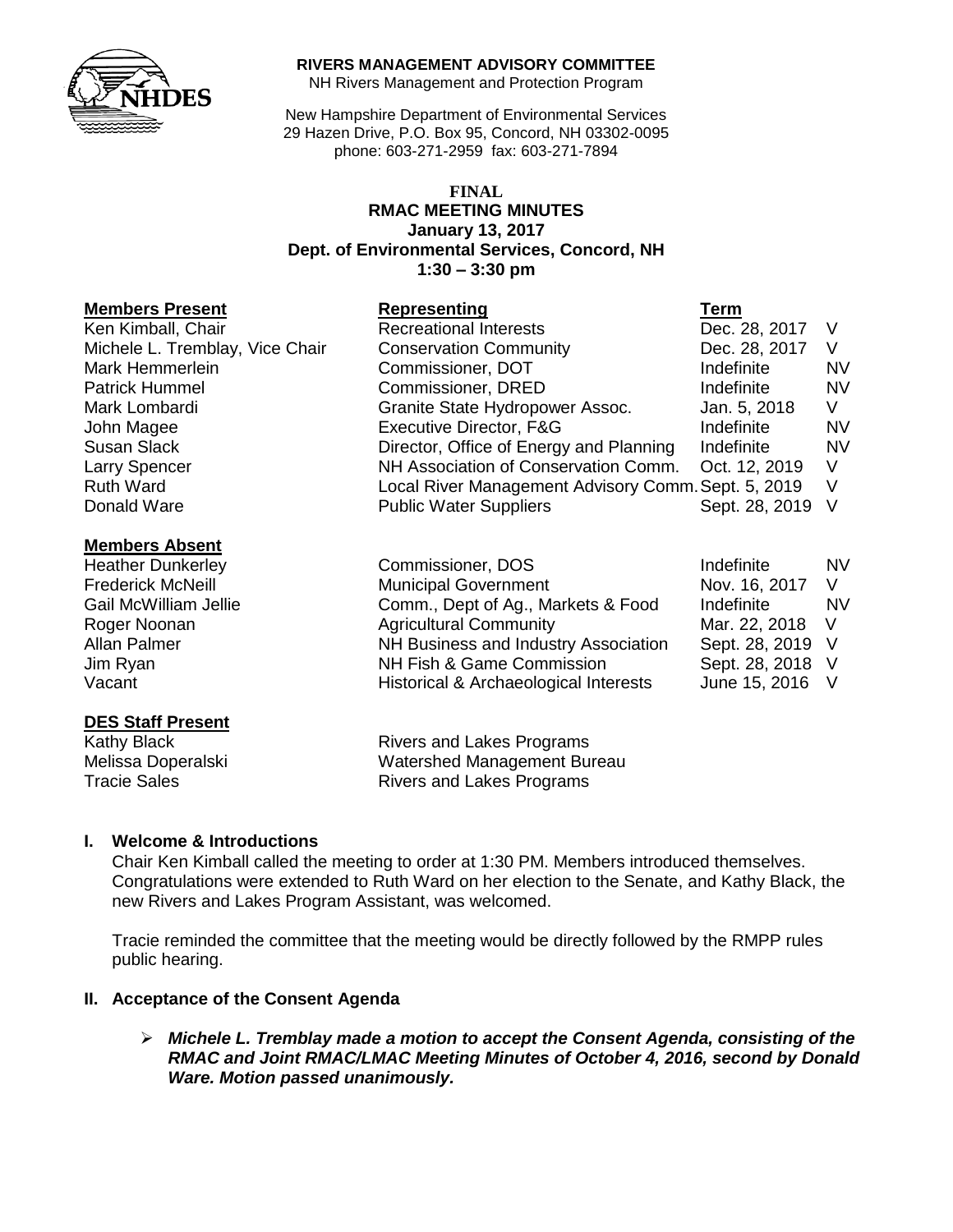

#### **RIVERS MANAGEMENT ADVISORY COMMITTEE**

NH Rivers Management and Protection Program

New Hampshire Department of Environmental Services 29 Hazen Drive, P.O. Box 95, Concord, NH 03302-0095 phone: 603-271-2959 fax: 603-271-7894

#### **FINAL RMAC MEETING MINUTES January 13, 2017 Dept. of Environmental Services, Concord, NH 1:30 – 3:30 pm**

#### **Members Present Representing Term**

| Ken Kimball, Chair              |
|---------------------------------|
| Michele L. Tremblay, Vice Chair |
| Mark Hemmerlein                 |
| <b>Patrick Hummel</b>           |
| Mark Lombardi                   |
| John Magee                      |
| <b>Susan Slack</b>              |
| Larry Spencer                   |
| <b>Ruth Ward</b>                |
| Donald Ware                     |

#### **Members Absent**

# **DES Staff Present**

Kathy Black **Rivers** and Lakes **Rivers** and Lakes **Rivers** and Lakes **Rivers** and Lakes **Rivers** and Lakes **Programs** Melissa Doperalski **Tracie Sales** 

Recreational Interests Dec. 28, 2017 V Conservation Community **Dec. 28, 2017** V Commissioner, DOT **Indefinite** NV **Commissioner, DRED Indefinite INV** Granite State Hydropower Assoc. Jan. 5, 2018 V Executive Director, F&G Indefinite NV Director, Office of Energy and Planning Indefinite NV NH Association of Conservation Comm. Oct. 12, 2019 V Local River Management Advisory Comm. Sept. 5, 2019 V Public Water Suppliers Sept. 28, 2019 V

| Commissioner, DOS                     | Indefinite       | <b>NV</b> |
|---------------------------------------|------------------|-----------|
| <b>Municipal Government</b>           | Nov. 16, 2017    | V         |
| Comm., Dept of Ag., Markets & Food    | Indefinite       | <b>NV</b> |
| <b>Agricultural Community</b>         | Mar. 22, 2018    |           |
| NH Business and Industry Association  | Sept. 28, 2019 V |           |
| NH Fish & Game Commission             | Sept. 28, 2018 V |           |
| Historical & Archaeological Interests | June 15, 2016 V  |           |
|                                       |                  |           |

| Rivers and Lakes Programs          |
|------------------------------------|
| <b>Watershed Management Bureau</b> |
| <b>Rivers and Lakes Programs</b>   |

### **I. Welcome & Introductions**

Chair Ken Kimball called the meeting to order at 1:30 PM. Members introduced themselves. Congratulations were extended to Ruth Ward on her election to the Senate, and Kathy Black, the new Rivers and Lakes Program Assistant, was welcomed.

Tracie reminded the committee that the meeting would be directly followed by the RMPP rules public hearing.

### **II. Acceptance of the Consent Agenda**

 *Michele L. Tremblay made a motion to accept the Consent Agenda, consisting of the RMAC and Joint RMAC/LMAC Meeting Minutes of October 4, 2016, second by Donald Ware. Motion passed unanimously.*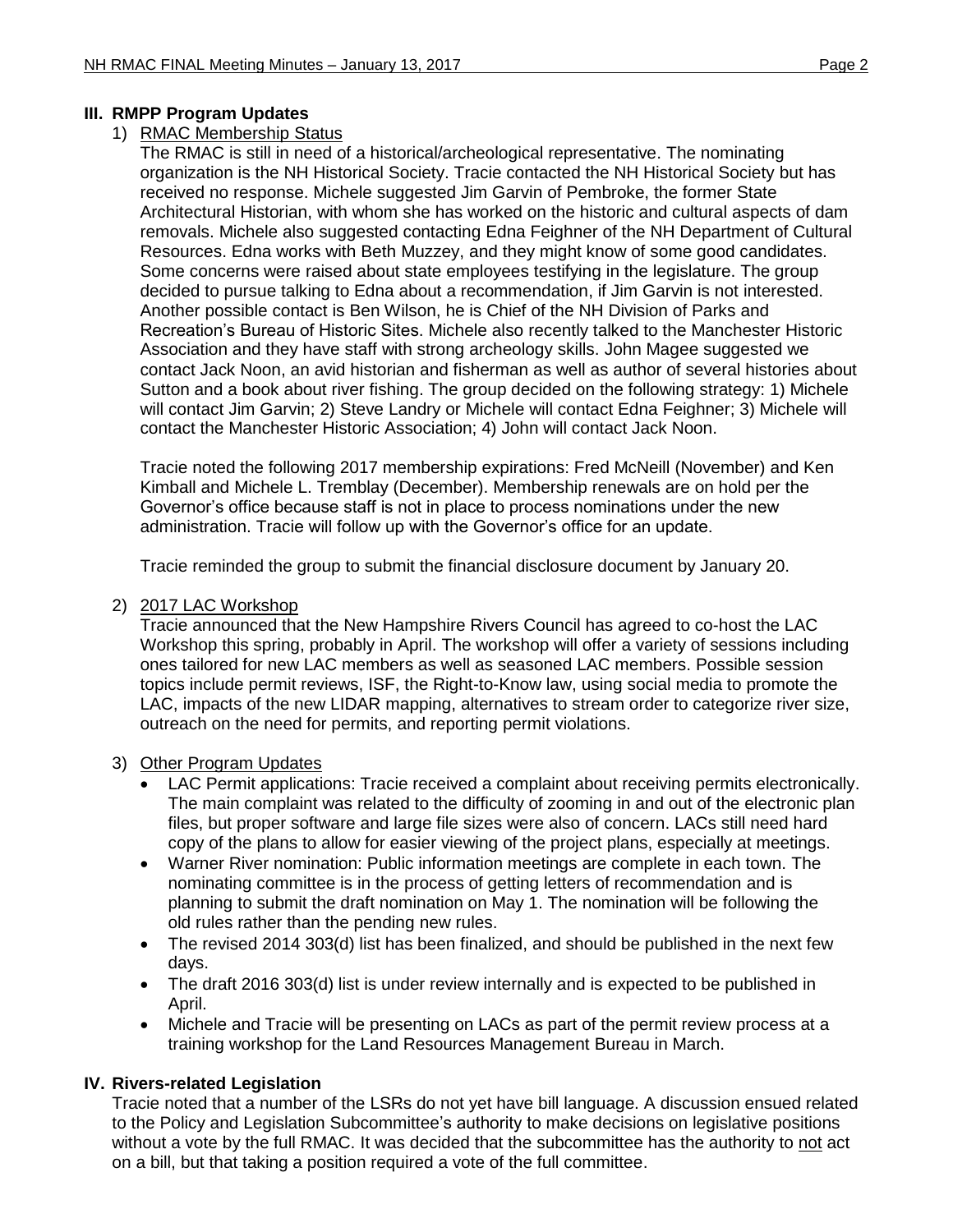### **III. RMPP Program Updates**

### 1) RMAC Membership Status

The RMAC is still in need of a historical/archeological representative. The nominating organization is the NH Historical Society. Tracie contacted the NH Historical Society but has received no response. Michele suggested Jim Garvin of Pembroke, the former State Architectural Historian, with whom she has worked on the historic and cultural aspects of dam removals. Michele also suggested contacting Edna Feighner of the NH Department of Cultural Resources. Edna works with Beth Muzzey, and they might know of some good candidates. Some concerns were raised about state employees testifying in the legislature. The group decided to pursue talking to Edna about a recommendation, if Jim Garvin is not interested. Another possible contact is Ben Wilson, he is Chief of the NH Division of Parks and Recreation's Bureau of Historic Sites. Michele also recently talked to the Manchester Historic Association and they have staff with strong archeology skills. John Magee suggested we contact Jack Noon, an avid historian and fisherman as well as author of several histories about Sutton and a book about river fishing. The group decided on the following strategy: 1) Michele will contact Jim Garvin; 2) Steve Landry or Michele will contact Edna Feighner; 3) Michele will contact the Manchester Historic Association; 4) John will contact Jack Noon.

Tracie noted the following 2017 membership expirations: Fred McNeill (November) and Ken Kimball and Michele L. Tremblay (December). Membership renewals are on hold per the Governor's office because staff is not in place to process nominations under the new administration. Tracie will follow up with the Governor's office for an update.

Tracie reminded the group to submit the financial disclosure document by January 20.

### 2) 2017 LAC Workshop

Tracie announced that the New Hampshire Rivers Council has agreed to co-host the LAC Workshop this spring, probably in April. The workshop will offer a variety of sessions including ones tailored for new LAC members as well as seasoned LAC members. Possible session topics include permit reviews, ISF, the Right-to-Know law, using social media to promote the LAC, impacts of the new LIDAR mapping, alternatives to stream order to categorize river size, outreach on the need for permits, and reporting permit violations.

### 3) Other Program Updates

- LAC Permit applications: Tracie received a complaint about receiving permits electronically. The main complaint was related to the difficulty of zooming in and out of the electronic plan files, but proper software and large file sizes were also of concern. LACs still need hard copy of the plans to allow for easier viewing of the project plans, especially at meetings.
- Warner River nomination: Public information meetings are complete in each town. The nominating committee is in the process of getting letters of recommendation and is planning to submit the draft nomination on May 1. The nomination will be following the old rules rather than the pending new rules.
- The revised 2014 303(d) list has been finalized, and should be published in the next few days.
- The draft 2016 303(d) list is under review internally and is expected to be published in April.
- Michele and Tracie will be presenting on LACs as part of the permit review process at a training workshop for the Land Resources Management Bureau in March.

### **IV. Rivers-related Legislation**

Tracie noted that a number of the LSRs do not yet have bill language. A discussion ensued related to the Policy and Legislation Subcommittee's authority to make decisions on legislative positions without a vote by the full RMAC. It was decided that the subcommittee has the authority to not act on a bill, but that taking a position required a vote of the full committee.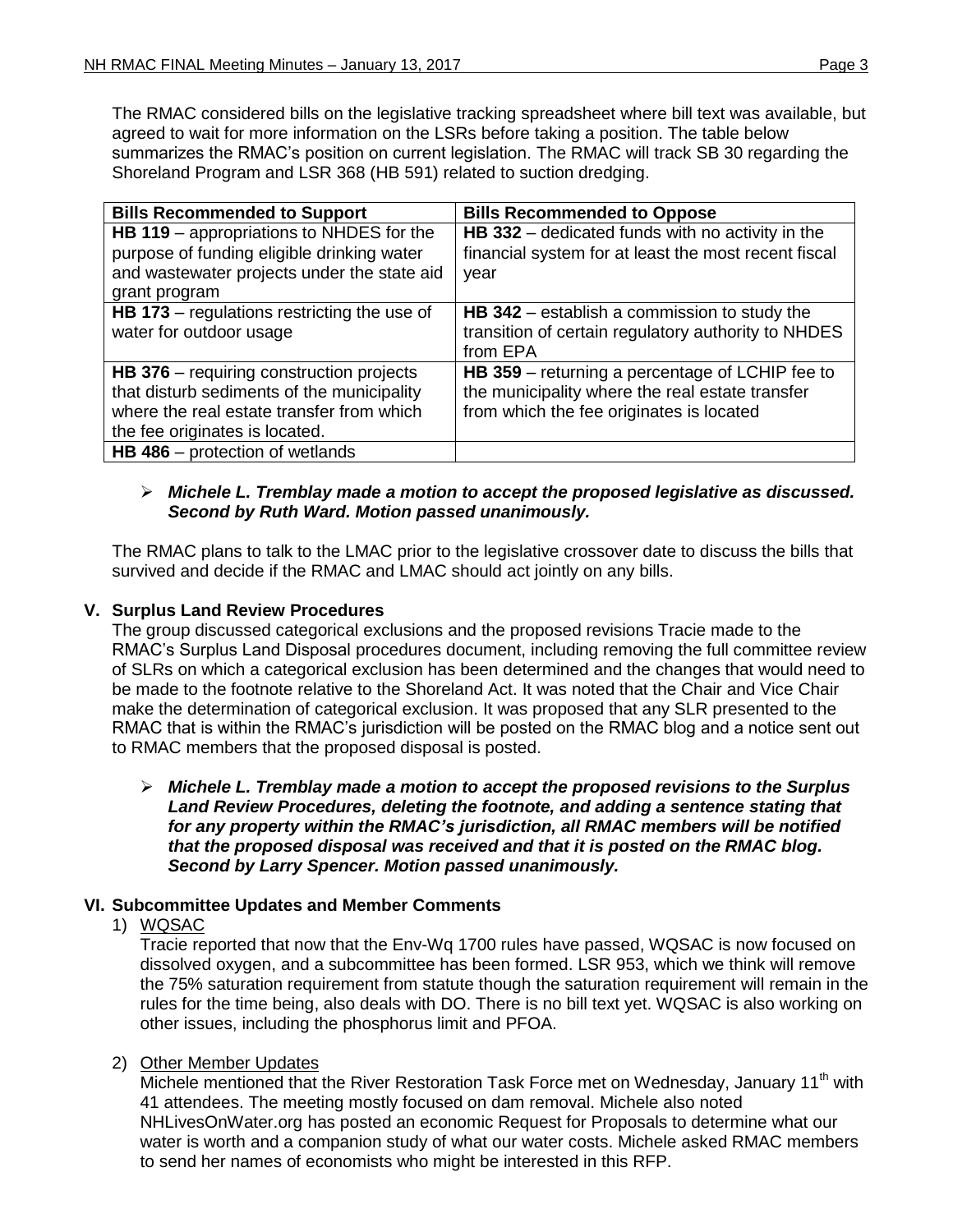The RMAC considered bills on the legislative tracking spreadsheet where bill text was available, but agreed to wait for more information on the LSRs before taking a position. The table below summarizes the RMAC's position on current legislation. The RMAC will track SB 30 regarding the Shoreland Program and LSR 368 (HB 591) related to suction dredging.

| <b>Bills Recommended to Support</b>                | <b>Bills Recommended to Oppose</b>                   |
|----------------------------------------------------|------------------------------------------------------|
| HB 119 - appropriations to NHDES for the           | $HB$ 332 – dedicated funds with no activity in the   |
| purpose of funding eligible drinking water         | financial system for at least the most recent fiscal |
| and wastewater projects under the state aid        | year                                                 |
| grant program                                      |                                                      |
| <b>HB 173</b> – regulations restricting the use of | <b>HB 342</b> – establish a commission to study the  |
| water for outdoor usage                            | transition of certain regulatory authority to NHDES  |
|                                                    | from EPA                                             |
| $HB$ 376 – requiring construction projects         | HB 359 – returning a percentage of LCHIP fee to      |
| that disturb sediments of the municipality         | the municipality where the real estate transfer      |
| where the real estate transfer from which          | from which the fee originates is located             |
| the fee originates is located.                     |                                                      |
| <b>HB 486</b> – protection of wetlands             |                                                      |

### *Michele L. Tremblay made a motion to accept the proposed legislative as discussed. Second by Ruth Ward. Motion passed unanimously.*

The RMAC plans to talk to the LMAC prior to the legislative crossover date to discuss the bills that survived and decide if the RMAC and LMAC should act jointly on any bills.

## **V. Surplus Land Review Procedures**

The group discussed categorical exclusions and the proposed revisions Tracie made to the RMAC's Surplus Land Disposal procedures document, including removing the full committee review of SLRs on which a categorical exclusion has been determined and the changes that would need to be made to the footnote relative to the Shoreland Act. It was noted that the Chair and Vice Chair make the determination of categorical exclusion. It was proposed that any SLR presented to the RMAC that is within the RMAC's jurisdiction will be posted on the RMAC blog and a notice sent out to RMAC members that the proposed disposal is posted.

 *Michele L. Tremblay made a motion to accept the proposed revisions to the Surplus Land Review Procedures, deleting the footnote, and adding a sentence stating that for any property within the RMAC's jurisdiction, all RMAC members will be notified that the proposed disposal was received and that it is posted on the RMAC blog. Second by Larry Spencer. Motion passed unanimously.* 

# **VI. Subcommittee Updates and Member Comments**

# 1) WQSAC

Tracie reported that now that the Env-Wq 1700 rules have passed, WQSAC is now focused on dissolved oxygen, and a subcommittee has been formed. LSR 953, which we think will remove the 75% saturation requirement from statute though the saturation requirement will remain in the rules for the time being, also deals with DO. There is no bill text yet. WQSAC is also working on other issues, including the phosphorus limit and PFOA.

### 2) Other Member Updates

Michele mentioned that the River Restoration Task Force met on Wednesday, January 11<sup>th</sup> with 41 attendees. The meeting mostly focused on dam removal. Michele also noted NHLivesOnWater.org has posted an economic Request for Proposals to determine what our water is worth and a companion study of what our water costs. Michele asked RMAC members to send her names of economists who might be interested in this RFP.